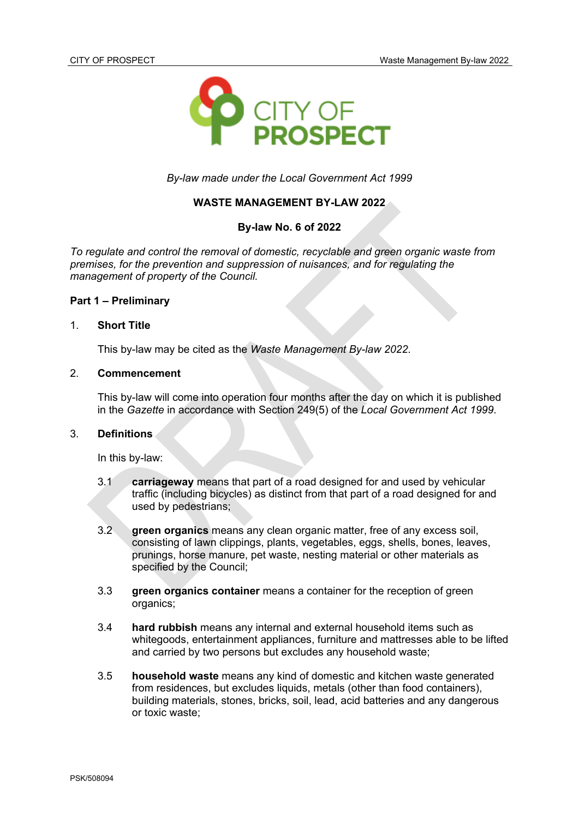

*By-law made under the Local Government Act 1999*

### **WASTE MANAGEMENT BY-LAW 2022**

## **By-law No. 6 of 2022**

*To regulate and control the removal of domestic, recyclable and green organic waste from premises, for the prevention and suppression of nuisances, and for regulating the management of property of the Council.*

#### **Part 1 – Preliminary**

#### 1. **Short Title**

This by-law may be cited as the *Waste Management By-law 2022*.

### 2. **Commencement**

This by-law will come into operation four months after the day on which it is published in the *Gazette* in accordance with Section 249(5) of the *Local Government Act 1999*.

#### 3. **Definitions**

In this by-law:

- 3.1 **carriageway** means that part of a road designed for and used by vehicular traffic (including bicycles) as distinct from that part of a road designed for and used by pedestrians;
- 3.2 **green organics** means any clean organic matter, free of any excess soil, consisting of lawn clippings, plants, vegetables, eggs, shells, bones, leaves, prunings, horse manure, pet waste, nesting material or other materials as specified by the Council;
- 3.3 **green organics container** means a container for the reception of green organics;
- 3.4 **hard rubbish** means any internal and external household items such as whitegoods, entertainment appliances, furniture and mattresses able to be lifted and carried by two persons but excludes any household waste;
- 3.5 **household waste** means any kind of domestic and kitchen waste generated from residences, but excludes liquids, metals (other than food containers), building materials, stones, bricks, soil, lead, acid batteries and any dangerous or toxic waste;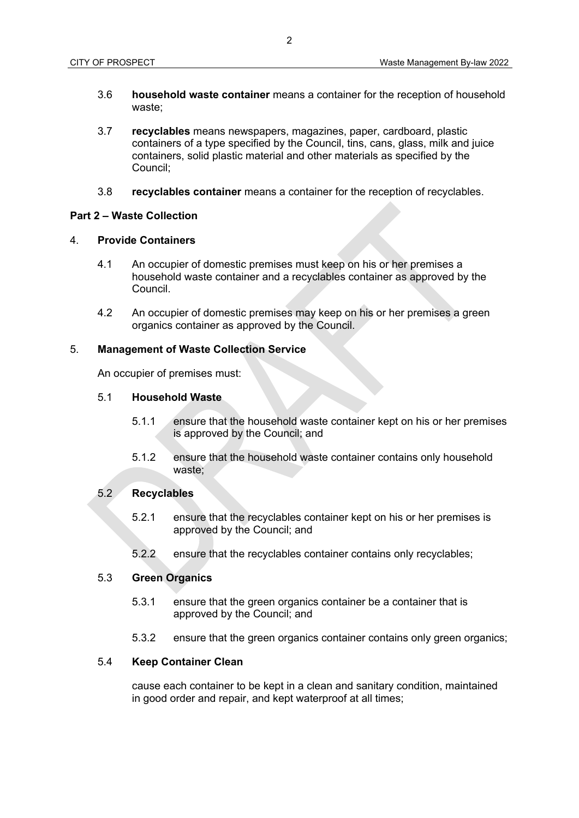- 3.6 **household waste container** means a container for the reception of household waste;
- 3.7 **recyclables** means newspapers, magazines, paper, cardboard, plastic containers of a type specified by the Council, tins, cans, glass, milk and juice containers, solid plastic material and other materials as specified by the Council;
- 3.8 **recyclables container** means a container for the reception of recyclables.

## **Part 2 – Waste Collection**

# 4. **Provide Containers**

- 4.1 An occupier of domestic premises must keep on his or her premises a household waste container and a recyclables container as approved by the Council.
- 4.2 An occupier of domestic premises may keep on his or her premises a green organics container as approved by the Council.

### 5. **Management of Waste Collection Service**

An occupier of premises must:

### 5.1 **Household Waste**

- 5.1.1 ensure that the household waste container kept on his or her premises is approved by the Council; and
- 5.1.2 ensure that the household waste container contains only household waste;

# 5.2 **Recyclables**

- 5.2.1 ensure that the recyclables container kept on his or her premises is approved by the Council; and
- 5.2.2 ensure that the recyclables container contains only recyclables;

### 5.3 **Green Organics**

- 5.3.1 ensure that the green organics container be a container that is approved by the Council; and
- 5.3.2 ensure that the green organics container contains only green organics;

## 5.4 **Keep Container Clean**

cause each container to be kept in a clean and sanitary condition, maintained in good order and repair, and kept waterproof at all times;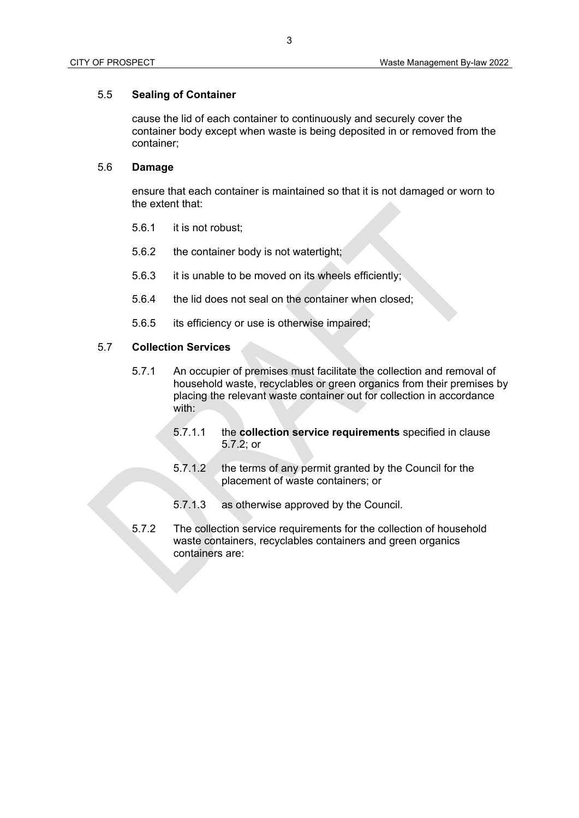# 5.5 **Sealing of Container**

cause the lid of each container to continuously and securely cover the container body except when waste is being deposited in or removed from the container;

# 5.6 **Damage**

ensure that each container is maintained so that it is not damaged or worn to the extent that:

- 5.6.1 it is not robust;
- 5.6.2 the container body is not watertight;
- 5.6.3 it is unable to be moved on its wheels efficiently;
- 5.6.4 the lid does not seal on the container when closed;
- 5.6.5 its efficiency or use is otherwise impaired;

# 5.7 **Collection Services**

- 5.7.1 An occupier of premises must facilitate the collection and removal of household waste, recyclables or green organics from their premises by placing the relevant waste container out for collection in accordance with:
	- 5.7.1.1 the **collection service requirements** specified in clause 5.7.2; or
	- 5.7.1.2 the terms of any permit granted by the Council for the placement of waste containers; or
	- 5.7.1.3 as otherwise approved by the Council.
- 5.7.2 The collection service requirements for the collection of household waste containers, recyclables containers and green organics containers are: